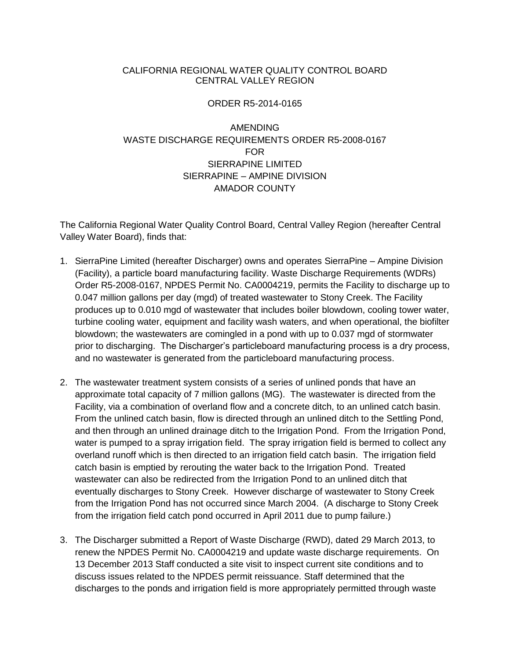## CALIFORNIA REGIONAL WATER QUALITY CONTROL BOARD CENTRAL VALLEY REGION

## ORDER R5-2014-0165

## AMENDING WASTE DISCHARGE REQUIREMENTS ORDER R5-2008-0167 FOR SIERRAPINE LIMITED SIERRAPINE – AMPINE DIVISION AMADOR COUNTY

The California Regional Water Quality Control Board, Central Valley Region (hereafter Central Valley Water Board), finds that:

- 1. SierraPine Limited (hereafter Discharger) owns and operates SierraPine Ampine Division (Facility), a particle board manufacturing facility. Waste Discharge Requirements (WDRs) Order R5-2008-0167, NPDES Permit No. CA0004219, permits the Facility to discharge up to 0.047 million gallons per day (mgd) of treated wastewater to Stony Creek. The Facility produces up to 0.010 mgd of wastewater that includes boiler blowdown, cooling tower water, turbine cooling water, equipment and facility wash waters, and when operational, the biofilter blowdown; the wastewaters are comingled in a pond with up to 0.037 mgd of stormwater prior to discharging. The Discharger's particleboard manufacturing process is a dry process, and no wastewater is generated from the particleboard manufacturing process.
- 2. The wastewater treatment system consists of a series of unlined ponds that have an approximate total capacity of 7 million gallons (MG). The wastewater is directed from the Facility, via a combination of overland flow and a concrete ditch, to an unlined catch basin. From the unlined catch basin, flow is directed through an unlined ditch to the Settling Pond, and then through an unlined drainage ditch to the Irrigation Pond. From the Irrigation Pond, water is pumped to a spray irrigation field. The spray irrigation field is bermed to collect any overland runoff which is then directed to an irrigation field catch basin. The irrigation field catch basin is emptied by rerouting the water back to the Irrigation Pond. Treated wastewater can also be redirected from the Irrigation Pond to an unlined ditch that eventually discharges to Stony Creek. However discharge of wastewater to Stony Creek from the Irrigation Pond has not occurred since March 2004. (A discharge to Stony Creek from the irrigation field catch pond occurred in April 2011 due to pump failure.)
- 3. The Discharger submitted a Report of Waste Discharge (RWD), dated 29 March 2013, to renew the NPDES Permit No. CA0004219 and update waste discharge requirements. On 13 December 2013 Staff conducted a site visit to inspect current site conditions and to discuss issues related to the NPDES permit reissuance. Staff determined that the discharges to the ponds and irrigation field is more appropriately permitted through waste